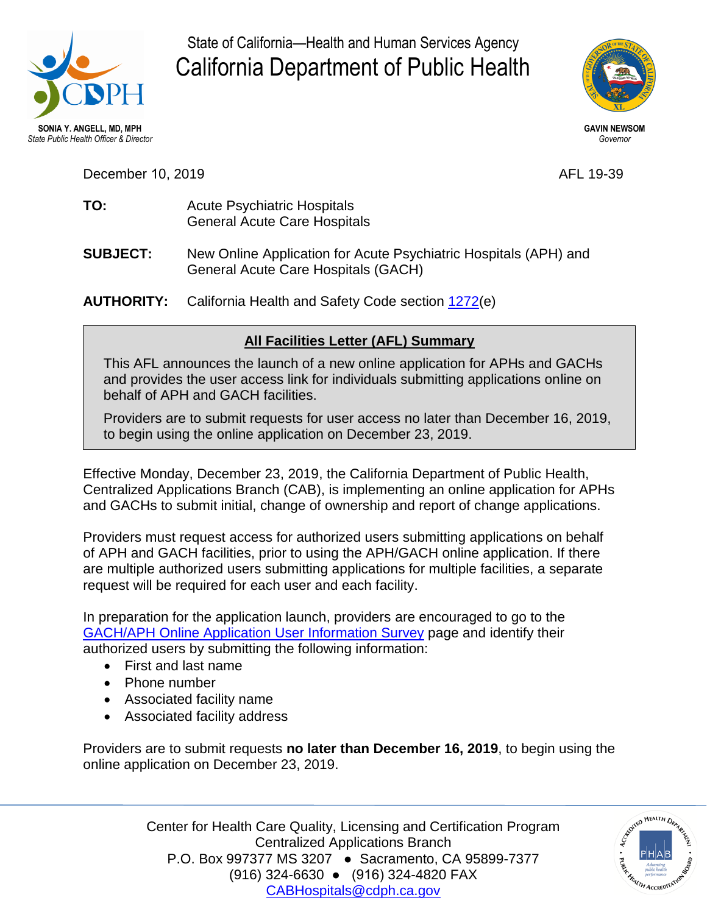

State of California—Health and Human Services Agency California Department of Public Health



**December 10, 2019** AFL 19-39

- **TO:** Acute Psychiatric Hospitals General Acute Care Hospitals
- **SUBJECT:** New Online Application for Acute Psychiatric Hospitals (APH) and General Acute Care Hospitals (GACH)
- **AUTHORITY:** California Health and Safety Code section [1272\(](https://leginfo.legislature.ca.gov/faces/codes_displaySection.xhtml?sectionNum=1272.&lawCode=HSC)e)

## **All Facilities Letter (AFL) Summary**

This AFL announces the launch of a new online application for APHs and GACHs and provides the user access link for individuals submitting applications online on behalf of APH and GACH facilities.

Providers are to submit requests for user access no later than December 16, 2019, to begin using the online application on December 23, 2019.

Effective Monday, December 23, 2019, the California Department of Public Health, Centralized Applications Branch (CAB), is implementing an online application for APHs and GACHs to submit initial, change of ownership and report of change applications.

 Providers must request access for authorized users submitting applications on behalf of APH and GACH facilities, prior to using the APH/GACH online application. If there request will be required for each user and each facility. are multiple authorized users submitting applications for multiple facilities, a separate

 In preparation for the application launch, providers are encouraged to go to the [GACH/APH Online Application User Information Survey](https://forms.office.com/Pages/ResponsePage.aspx?id=URsxH9n2U0GbrFXg75ZBuBWjG7TMG-ZPm_i2N5hpl-9UREQyQUlBVEhPRzdLTjdaRUE2VTdaR1JOWi4u) page and identify their authorized users by submitting the following information:

- First and last name
- Phone number
- Associated facility name
- Associated facility address

 online application on December 23, 2019. Providers are to submit requests **no later than December 16, 2019**, to begin using the

> P.O. Box 997377 MS 3207 ● Sacramento, CA 95899-7377 (916) 324-6630 ● (916) 324-4820 FAX Center for Health Care Quality, Licensing and Certification Program Centralized Applications Branch [CABHospitals@cdph.ca.gov](mailto:CABHospitals@cdph.ca.gov)